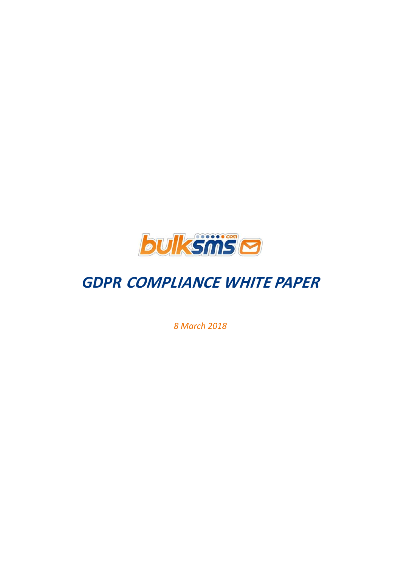

# *GDPR* **COMPLIANCE WHITE PAPER**

*8 March 2018*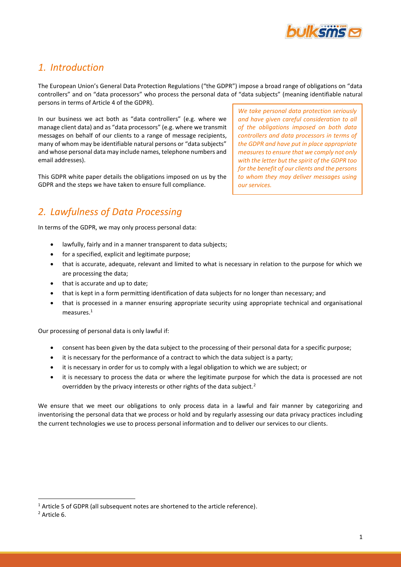

# *1. Introduction*

The European Union's General Data Protection Regulations ("the GDPR") impose a broad range of obligations on "data controllers" and on "data processors" who process the personal data of "data subjects" (meaning identifiable natural persons in terms of Article 4 of the GDPR).

In our business we act both as "data controllers" (e.g. where we manage client data) and as "data processors" (e.g. where we transmit messages on behalf of our clients to a range of message recipients, many of whom may be identifiable natural persons or "data subjects" and whose personal data may include names, telephone numbers and email addresses).

This GDPR white paper details the obligations imposed on us by the GDPR and the steps we have taken to ensure full compliance.

*2. Lawfulness of Data Processing*

In terms of the GDPR, we may only process personal data:

- lawfully, fairly and in a manner transparent to data subjects;
- for a specified, explicit and legitimate purpose;
- that is accurate, adequate, relevant and limited to what is necessary in relation to the purpose for which we are processing the data;
- that is accurate and up to date;
- that is kept in a form permitting identification of data subjects for no longer than necessary; and
- that is processed in a manner ensuring appropriate security using appropriate technical and organisational measures.<sup>1</sup>

Our processing of personal data is only lawful if:

- consent has been given by the data subject to the processing of their personal data for a specific purpose;
- it is necessary for the performance of a contract to which the data subject is a party;
- it is necessary in order for us to comply with a legal obligation to which we are subject; or
- it is necessary to process the data or where the legitimate purpose for which the data is processed are not overridden by the privacy interests or other rights of the data subject.<sup>2</sup>

We ensure that we meet our obligations to only process data in a lawful and fair manner by categorizing and inventorising the personal data that we process or hold and by regularly assessing our data privacy practices including the current technologies we use to process personal information and to deliver our services to our clients.

**.** 

*We take personal data protection seriously and have given careful consideration to all of the obligations imposed on both data controllers and data processors in terms of the GDPR and have put in place appropriate measures to ensure that we comply not only with the letter but the spirit of the GDPR too for the benefit of our clients and the persons to whom they may deliver messages using our services.*

<sup>&</sup>lt;sup>1</sup> Article 5 of GDPR (all subsequent notes are shortened to the article reference).

<sup>2</sup> Article 6.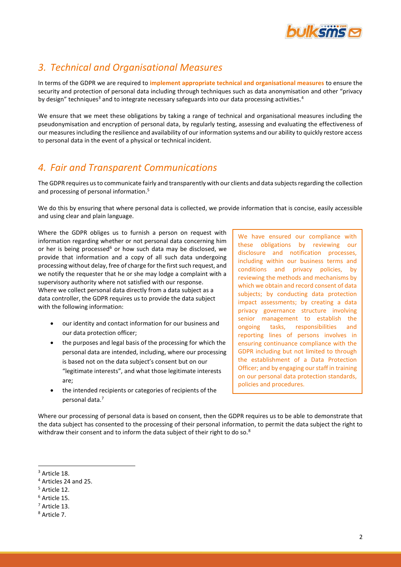

# *3. Technical and Organisational Measures*

In terms of the GDPR we are required to **implement appropriate technical and organisational measures** to ensure the security and protection of personal data including through techniques such as data anonymisation and other "privacy by design" techniques<sup>3</sup> and to integrate necessary safeguards into our data processing activities.<sup>4</sup>

We ensure that we meet these obligations by taking a range of technical and organisational measures including the pseudonymisation and encryption of personal data, by regularly testing, assessing and evaluating the effectiveness of our measures including the resilience and availability of our information systems and our ability to quickly restore access to personal data in the event of a physical or technical incident.

# *4. Fair and Transparent Communications*

The GDPR requires us to communicate fairly and transparently with our clients and data subjects regarding the collection and processing of personal information.<sup>5</sup>

We do this by ensuring that where personal data is collected, we provide information that is concise, easily accessible and using clear and plain language.

Where the GDPR obliges us to furnish a person on request with information regarding whether or not personal data concerning him or her is being processed<sup>6</sup> or how such data may be disclosed, we provide that information and a copy of all such data undergoing processing without delay, free of charge for the first such request, and we notify the requester that he or she may lodge a complaint with a supervisory authority where not satisfied with our response. Where we collect personal data directly from a data subject as a data controller, the GDPR requires us to provide the data subject with the following information:

- our identity and contact information for our business and our data protection officer;
- the purposes and legal basis of the processing for which the personal data are intended, including, where our processing is based not on the data subject's consent but on our "legitimate interests", and what those legitimate interests are;
- the intended recipients or categories of recipients of the personal data.<sup>7</sup>

We have ensured our compliance with these obligations by reviewing our disclosure and notification processes, including within our business terms and conditions and privacy policies, by reviewing the methods and mechanisms by which we obtain and record consent of data subjects; by conducting data protection impact assessments; by creating a data privacy governance structure involving senior management to establish the ongoing tasks, responsibilities and reporting lines of persons involves in ensuring continuance compliance with the GDPR including but not limited to through the establishment of a Data Protection Officer; and by engaging our staff in training on our personal data protection standards, policies and procedures.

Where our processing of personal data is based on consent, then the GDPR requires us to be able to demonstrate that the data subject has consented to the processing of their personal information, to permit the data subject the right to withdraw their consent and to inform the data subject of their right to do so.<sup>8</sup>

**<sup>.</sup>** <sup>3</sup> Article 18.

<sup>4</sup> Articles 24 and 25.

<sup>5</sup> Article 12.

<sup>6</sup> Article 15.

<sup>7</sup> Article 13.

<sup>8</sup> Article 7.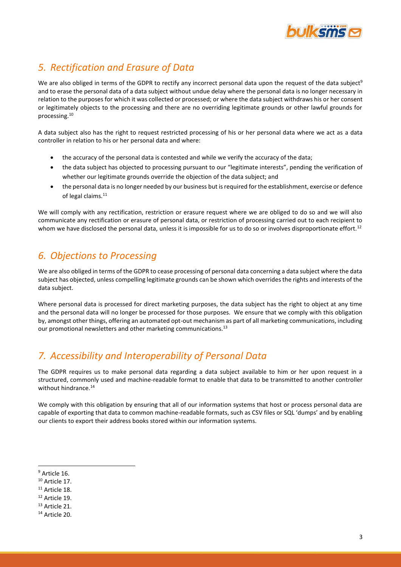

# *5. Rectification and Erasure of Data*

We are also obliged in terms of the GDPR to rectify any incorrect personal data upon the request of the data subject<sup>9</sup> and to erase the personal data of a data subject without undue delay where the personal data is no longer necessary in relation to the purposes for which it was collected or processed; or where the data subject withdraws his or her consent or legitimately objects to the processing and there are no overriding legitimate grounds or other lawful grounds for processing.<sup>10</sup>

A data subject also has the right to request restricted processing of his or her personal data where we act as a data controller in relation to his or her personal data and where:

- the accuracy of the personal data is contested and while we verify the accuracy of the data;
- the data subject has objected to processing pursuant to our "legitimate interests", pending the verification of whether our legitimate grounds override the objection of the data subject; and
- the personal data is no longer needed by our business but is required for the establishment, exercise or defence of legal claims.<sup>11</sup>

We will comply with any rectification, restriction or erasure request where we are obliged to do so and we will also communicate any rectification or erasure of personal data, or restriction of processing carried out to each recipient to whom we have disclosed the personal data, unless it is impossible for us to do so or involves disproportionate effort.<sup>12</sup>

# *6. Objections to Processing*

We are also obliged in terms of the GDPR to cease processing of personal data concerning a data subject where the data subject has objected, unless compelling legitimate grounds can be shown which overrides the rights and interests of the data subject.

Where personal data is processed for direct marketing purposes, the data subject has the right to object at any time and the personal data will no longer be processed for those purposes. We ensure that we comply with this obligation by, amongst other things, offering an automated opt-out mechanism as part of all marketing communications, including our promotional newsletters and other marketing communications.<sup>13</sup>

# *7. Accessibility and Interoperability of Personal Data*

The GDPR requires us to make personal data regarding a data subject available to him or her upon request in a structured, commonly used and machine-readable format to enable that data to be transmitted to another controller without hindrance.<sup>14</sup>

We comply with this obligation by ensuring that all of our information systems that host or process personal data are capable of exporting that data to common machine-readable formats, such as CSV files or SQL 'dumps' and by enabling our clients to export their address books stored within our information systems.

**.** 

<sup>&</sup>lt;sup>9</sup> Article 16.

 $10$  Article 17.

 $11$  Article 18.

<sup>12</sup> Article 19.

<sup>13</sup> Article 21.

<sup>14</sup> Article 20.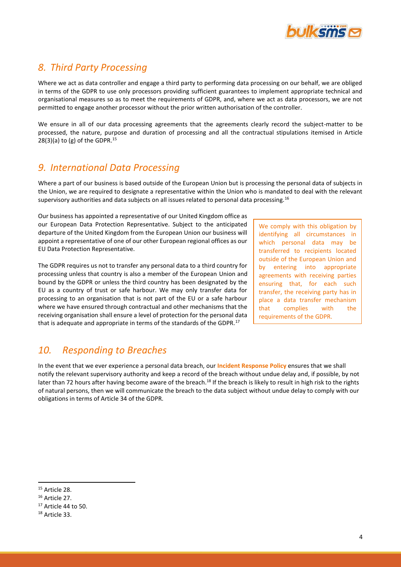

# *8. Third Party Processing*

Where we act as data controller and engage a third party to performing data processing on our behalf, we are obliged in terms of the GDPR to use only processors providing sufficient guarantees to implement appropriate technical and organisational measures so as to meet the requirements of GDPR, and, where we act as data processors, we are not permitted to engage another processor without the prior written authorisation of the controller.

We ensure in all of our data processing agreements that the agreements clearly record the subject-matter to be processed, the nature, purpose and duration of processing and all the contractual stipulations itemised in Article  $28(3)(a)$  to (g) of the GDPR.<sup>15</sup>

#### *9. International Data Processing*

Where a part of our business is based outside of the European Union but is processing the personal data of subjects in the Union, we are required to designate a representative within the Union who is mandated to deal with the relevant supervisory authorities and data subjects on all issues related to personal data processing.<sup>16</sup>

Our business has appointed a representative of our United Kingdom office as our European Data Protection Representative. Subject to the anticipated departure of the United Kingdom from the European Union our business will appoint a representative of one of our other European regional offices as our EU Data Protection Representative.

The GDPR requires us not to transfer any personal data to a third country for processing unless that country is also a member of the European Union and bound by the GDPR or unless the third country has been designated by the EU as a country of trust or safe harbour. We may only transfer data for processing to an organisation that is not part of the EU or a safe harbour where we have ensured through contractual and other mechanisms that the receiving organisation shall ensure a level of protection for the personal data that is adequate and appropriate in terms of the standards of the GDPR.<sup>17</sup>

We comply with this obligation by identifying all circumstances in which personal data may be transferred to recipients located outside of the European Union and by entering into appropriate agreements with receiving parties ensuring that, for each such transfer, the receiving party has in place a data transfer mechanism that complies with the requirements of the GDPR.

## *10. Responding to Breaches*

In the event that we ever experience a personal data breach, our **Incident Response Policy** ensures that we shall notify the relevant supervisory authority and keep a record of the breach without undue delay and, if possible, by not later than 72 hours after having become aware of the breach.<sup>18</sup> If the breach is likely to result in high risk to the rights of natural persons, then we will communicate the breach to the data subject without undue delay to comply with our obligations in terms of Article 34 of the GDPR.

**.** 

<sup>&</sup>lt;sup>15</sup> Article 28.

<sup>16</sup> Article 27.

<sup>17</sup> Article 44 to 50.

<sup>18</sup> Article 33.